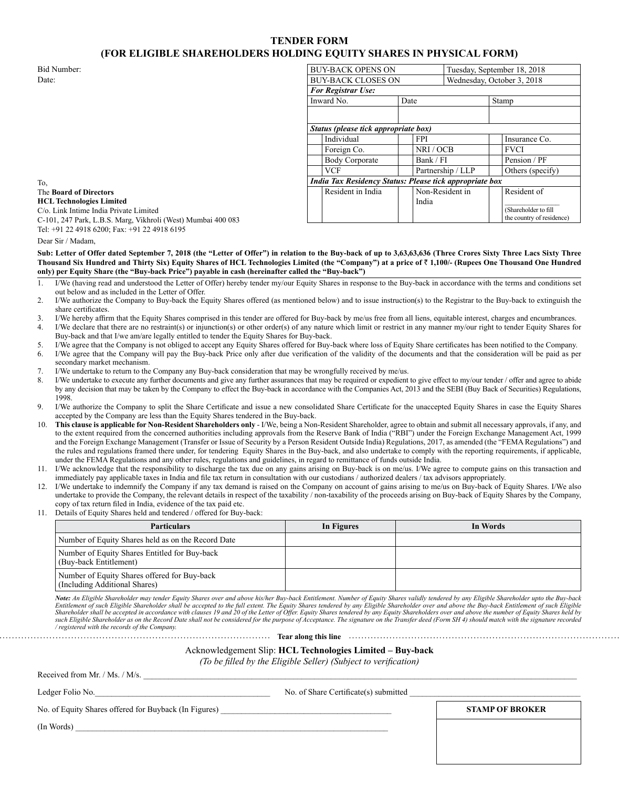## **TENDER FORM (FOR ELIGIBLE SHAREHOLDERS HOLDING EQUITY SHARES IN PHYSICAL FORM)**

To,

| Bid Number:                                                  | <b>BUY-BACK OPENS ON</b>                                       |      |                            | Tuesday, September 18, 2018 |                           |
|--------------------------------------------------------------|----------------------------------------------------------------|------|----------------------------|-----------------------------|---------------------------|
| Date:                                                        | <b>BUY-BACK CLOSES ON</b>                                      |      | Wednesday, October 3, 2018 |                             |                           |
|                                                              | <b>For Registrar Use:</b>                                      |      |                            |                             |                           |
|                                                              | Inward No.                                                     | Date |                            | Stamp                       |                           |
|                                                              |                                                                |      |                            |                             |                           |
|                                                              |                                                                |      |                            |                             |                           |
|                                                              | Status (please tick appropriate box)                           |      |                            |                             |                           |
|                                                              | Individual                                                     |      | <b>FPI</b>                 |                             | Insurance Co.             |
|                                                              | Foreign Co.                                                    |      | NRI / OCB                  |                             | <b>FVCI</b>               |
|                                                              | <b>Body Corporate</b>                                          |      | Bank / FI                  |                             | Pension / PF              |
|                                                              | <b>VCF</b>                                                     |      | Partnership / LLP          |                             | Others (specify)          |
| To.                                                          | <b>India Tax Residency Status: Please tick appropriate box</b> |      |                            |                             |                           |
| The Board of Directors                                       | Resident in India                                              |      | Non-Resident in            |                             | Resident of               |
| <b>HCL Technologies Limited</b>                              |                                                                |      | India                      |                             |                           |
| C/o. Link Intime India Private Limited                       |                                                                |      |                            |                             | (Shareholder to fill      |
| C-101, 247 Park, L.B.S. Marg, Vikhroli (West) Mumbai 400 083 |                                                                |      |                            |                             | the country of residence) |
|                                                              |                                                                |      |                            |                             |                           |

The **Board of Directors HCL Technologies Limited** C/o. Link Intime India Private Limited C-101, 247 Park, L.B.S. Marg, Vikhroli (West) Mumbai 400 083 Tel: +91 22 4918 6200; Fax: +91 22 4918 6195

Dear Sir / Madam,

**Sub: Letter of Offer dated September 7, 2018 (the "Letter of Offer") in relation to the Buy-back of up to 3,63,63,636 (Three Crores Sixty Three Lacs Sixty Three Thousand Six Hundred and Thirty Six) Equity Shares of HCL Technologies Limited (the "Company") at a price of** ` **1,100/- (Rupees One Thousand One Hundred only) per Equity Share (the "Buy-back Price") payable in cash (hereinafter called the "Buy-back")**

- 1. I/We (having read and understood the Letter of Offer) hereby tender my/our Equity Shares in response to the Buy-back in accordance with the terms and conditions set out below and as included in the Letter of Offer.
- 2. I/We authorize the Company to Buy-back the Equity Shares offered (as mentioned below) and to issue instruction(s) to the Registrar to the Buy-back to extinguish the share certificates.
- 3. I/We hereby affirm that the Equity Shares comprised in this tender are offered for Buy-back by me/us free from all liens, equitable interest, charges and encumbrances.
- 4. I/We declare that there are no restraint(s) or injunction(s) or other order(s) of any nature which limit or restrict in any manner my/our right to tender Equity Shares for Buy-back and that I/we am/are legally entitled to tender the Equity Shares for Buy-back.
- 5. I/We agree that the Company is not obliged to accept any Equity Shares offered for Buy-back where loss of Equity Share certificates has been notified to the Company.
- 6. I/We agree that the Company will pay the Buy-back Price only after due verification of the validity of the documents and that the consideration will be paid as per secondary market mechanism.
- 7. I/We undertake to return to the Company any Buy-back consideration that may be wrongfully received by me/us.
- 8. I/We undertake to execute any further documents and give any further assurances that may be required or expedient to give effect to my/our tender / offer and agree to abide by any decision that may be taken by the Company to effect the Buy-back in accordance with the Companies Act, 2013 and the SEBI (Buy Back of Securities) Regulations, 1998.
- 9. I/We authorize the Company to split the Share Certificate and issue a new consolidated Share Certificate for the unaccepted Equity Shares in case the Equity Shares accepted by the Company are less than the Equity Shares tendered in the Buy-back.
- 10. **This clause is applicable for Non-Resident Shareholders only** I/We, being a Non-Resident Shareholder, agree to obtain and submit all necessary approvals, if any, and to the extent required from the concerned authorities including approvals from the Reserve Bank of India ("RBI") under the Foreign Exchange Management Act, 1999 and the Foreign Exchange Management (Transfer or Issue of Security by a Person Resident Outside India) Regulations, 2017, as amended (the "FEMA Regulations") and the rules and regulations framed there under, for tendering Equity Shares in the Buy-back, and also undertake to comply with the reporting requirements, if applicable, under the FEMA Regulations and any other rules, regulations and guidelines, in regard to remittance of funds outside India.
- 11. I/We acknowledge that the responsibility to discharge the tax due on any gains arising on Buy-back is on me/us. I/We agree to compute gains on this transaction and immediately pay applicable taxes in India and file tax return in consultation with our custodians / authorized dealers / tax advisors appropriately.
- 12. I/We undertake to indemnify the Company if any tax demand is raised on the Company on account of gains arising to me/us on Buy-back of Equity Shares. I/We also undertake to provide the Company, the relevant details in respect of the taxability / non-taxability of the proceeds arising on Buy-back of Equity Shares by the Company, copy of tax return filed in India, evidence of the tax paid etc.
- 11. Details of Equity Shares held and tendered / offered for Buy-back:

| <b>Particulars</b>                                                            | In Figures | In Words |
|-------------------------------------------------------------------------------|------------|----------|
| Number of Equity Shares held as on the Record Date                            |            |          |
| Number of Equity Shares Entitled for Buy-back<br>(Buy-back Entitlement)       |            |          |
| Number of Equity Shares offered for Buy-back<br>(Including Additional Shares) |            |          |

*Note: An Eligible Shareholder may tender Equity Shares over and above his/her Buy-back Entitlement. Number of Equity Shares validly tendered by any Eligible Shareholder upto the Buy-back Entitlement of such Eligible Shareholder shall be accepted to the full extent. The Equity Shares tendered by any Eligible Shareholder over and above the Buy-back Entitlement of such Eligible*  Shareholder shall be accepted in accordance with clauses 19 and 20 of the Letter of Offer. Equity Shares tendered by any Equity Shareholders over and above the number of Equity Shares held by<br>such Eligible Shareholder as o */ registered with the records of the Company.*

**Tear along this line Theorem Construction of the Community Construction of the Community Construction of the Community Construction of the Community Construction of the Community Construction of the Community Community** Acknowledgement Slip: **HCL Technologies Limited – Buy-back**

*(To be filled by the Eligible Seller) (Subject to verification)*

Received from Mr. / Ms. / M/s.

Ledger Folio No.\_\_\_\_\_\_\_\_\_\_\_\_\_\_\_\_\_\_\_\_\_\_\_\_\_\_\_\_\_\_\_\_\_\_\_\_\_\_\_\_\_\_ No. of Share Certificate(s) submitted \_\_\_\_\_\_\_\_\_\_\_\_\_\_\_\_\_\_\_\_\_\_\_\_\_\_\_\_\_\_\_\_\_\_\_\_\_\_\_\_\_

No. of Equity Shares offered for Buyback (In Figures) **STAMP OF BROKER** 

 $($ In Words $)$